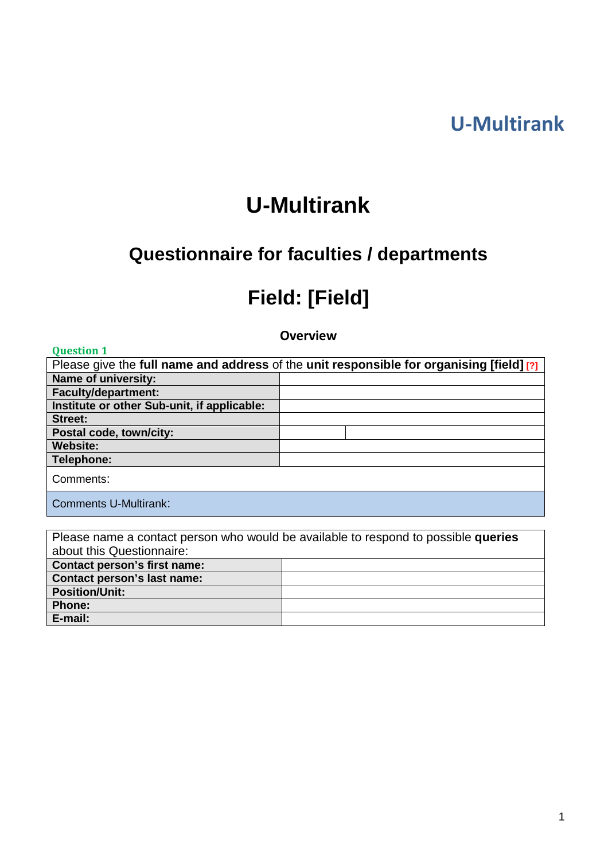# **U-Multirank**

# **U-Multirank**

# **Questionnaire for faculties / departments**

# **Field: [Field]**

**Overview**

| <b>Question 1</b>                           |                                                                                          |
|---------------------------------------------|------------------------------------------------------------------------------------------|
|                                             | Please give the full name and address of the unit responsible for organising [field] [?] |
| <b>Name of university:</b>                  |                                                                                          |
| <b>Faculty/department:</b>                  |                                                                                          |
| Institute or other Sub-unit, if applicable: |                                                                                          |
| Street:                                     |                                                                                          |
| Postal code, town/city:                     |                                                                                          |
| <b>Website:</b>                             |                                                                                          |
| Telephone:                                  |                                                                                          |
| Comments:                                   |                                                                                          |
| <b>Comments U-Multirank:</b>                |                                                                                          |

| Please name a contact person who would be available to respond to possible queries |  |  |  |  |
|------------------------------------------------------------------------------------|--|--|--|--|
| about this Questionnaire:                                                          |  |  |  |  |
| <b>Contact person's first name:</b>                                                |  |  |  |  |
| <b>Contact person's last name:</b>                                                 |  |  |  |  |
| <b>Position/Unit:</b>                                                              |  |  |  |  |
| <b>Phone:</b>                                                                      |  |  |  |  |
| E-mail:                                                                            |  |  |  |  |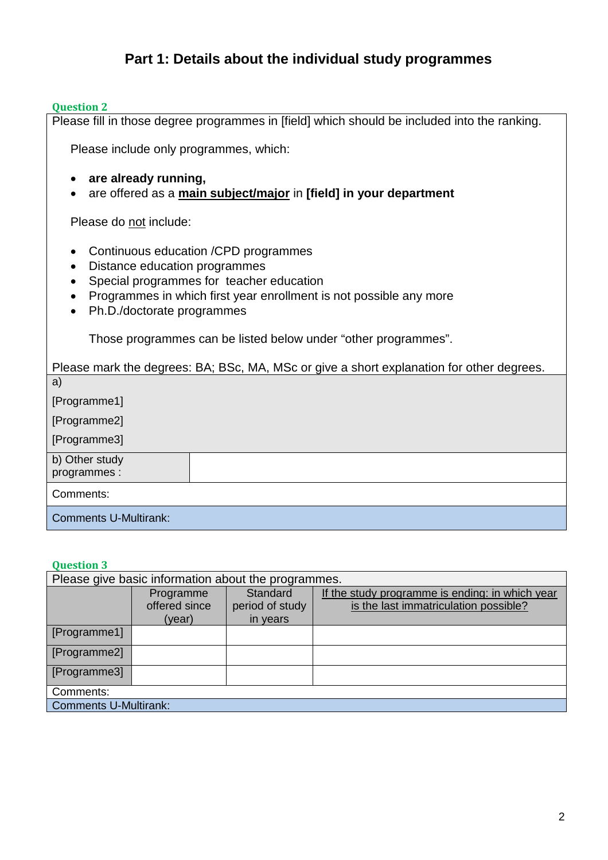# **Part 1: Details about the individual study programmes**

#### **Question 2**

Please fill in those degree programmes in [field] which should be included into the ranking.

Please include only programmes, which:

- **are already running,**
- are offered as a **main subject/major** in **[field] in your department**

Please do not include:

- Continuous education /CPD programmes
- Distance education programmes
- Special programmes for teacher education
- Programmes in which first year enrollment is not possible any more
- Ph.D./doctorate programmes

Those programmes can be listed below under "other programmes".

Please mark the degrees: BA; BSc, MA, MSc or give a short explanation for other degrees. a) [Programme1] [Programme2] [Programme3] b) Other study programmes : Comments: Comments U-Multirank:

| Please give basic information about the programmes. |                                      |                                         |                                                                                          |  |  |
|-----------------------------------------------------|--------------------------------------|-----------------------------------------|------------------------------------------------------------------------------------------|--|--|
|                                                     | Programme<br>offered since<br>(year) | Standard<br>period of study<br>in years | If the study programme is ending: in which year<br>is the last immatriculation possible? |  |  |
|                                                     |                                      |                                         |                                                                                          |  |  |
| [Programme1]                                        |                                      |                                         |                                                                                          |  |  |
| [Programme2]                                        |                                      |                                         |                                                                                          |  |  |
| [Programme3]                                        |                                      |                                         |                                                                                          |  |  |
| Comments:                                           |                                      |                                         |                                                                                          |  |  |
| <b>Comments U-Multirank:</b>                        |                                      |                                         |                                                                                          |  |  |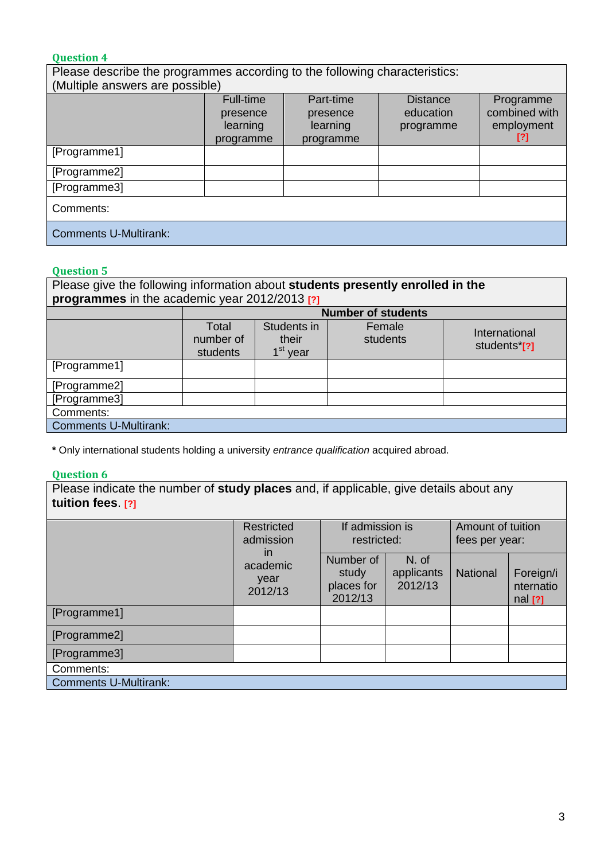| Please describe the programmes according to the following characteristics: |                                                       |                                                |                                           |                                                 |  |
|----------------------------------------------------------------------------|-------------------------------------------------------|------------------------------------------------|-------------------------------------------|-------------------------------------------------|--|
| (Multiple answers are possible)                                            |                                                       |                                                |                                           |                                                 |  |
|                                                                            | <b>Full-time</b><br>presence<br>learning<br>programme | Part-time<br>presence<br>learning<br>programme | <b>Distance</b><br>education<br>programme | Programme<br>combined with<br>employment<br>[?] |  |
| [Programme1]                                                               |                                                       |                                                |                                           |                                                 |  |
| [Programme2]                                                               |                                                       |                                                |                                           |                                                 |  |
| [Programme3]                                                               |                                                       |                                                |                                           |                                                 |  |
| Comments:                                                                  |                                                       |                                                |                                           |                                                 |  |
| <b>Comments U-Multirank:</b>                                               |                                                       |                                                |                                           |                                                 |  |

## **Question 5**

Please give the following information about **students presently enrolled in the programmes** in the academic year 2012/2013 **[?]**

|                              | <b>Number of students</b>      |                                              |                    |                               |
|------------------------------|--------------------------------|----------------------------------------------|--------------------|-------------------------------|
|                              | Total<br>number of<br>students | Students in<br>their<br>1 <sup>st</sup> year | Female<br>students | International<br>students*[?] |
| [Programme1]                 |                                |                                              |                    |                               |
| [Programme2]                 |                                |                                              |                    |                               |
| [Programme3]                 |                                |                                              |                    |                               |
| Comments:                    |                                |                                              |                    |                               |
| <b>Comments U-Multirank:</b> |                                |                                              |                    |                               |

**\*** Only international students holding a university *entrance qualification* acquired abroad.

## **Question 6**

Please indicate the number of **study places** and, if applicable, give details about any **tuition fees**. **[?]**

|                              | <b>Restricted</b><br>admission<br>$\mathsf{I}$<br>academic<br>year<br>2012/13 | If admission is<br>restricted:              |                                | Amount of tuition<br>fees per year: |                                     |
|------------------------------|-------------------------------------------------------------------------------|---------------------------------------------|--------------------------------|-------------------------------------|-------------------------------------|
|                              |                                                                               | Number of<br>study<br>places for<br>2012/13 | N. of<br>applicants<br>2012/13 | <b>National</b>                     | Foreign/i<br>nternatio<br>$nal$ [?] |
| [Programme1]                 |                                                                               |                                             |                                |                                     |                                     |
| [Programme2]                 |                                                                               |                                             |                                |                                     |                                     |
| [Programme3]                 |                                                                               |                                             |                                |                                     |                                     |
| Comments:                    |                                                                               |                                             |                                |                                     |                                     |
| <b>Comments U-Multirank:</b> |                                                                               |                                             |                                |                                     |                                     |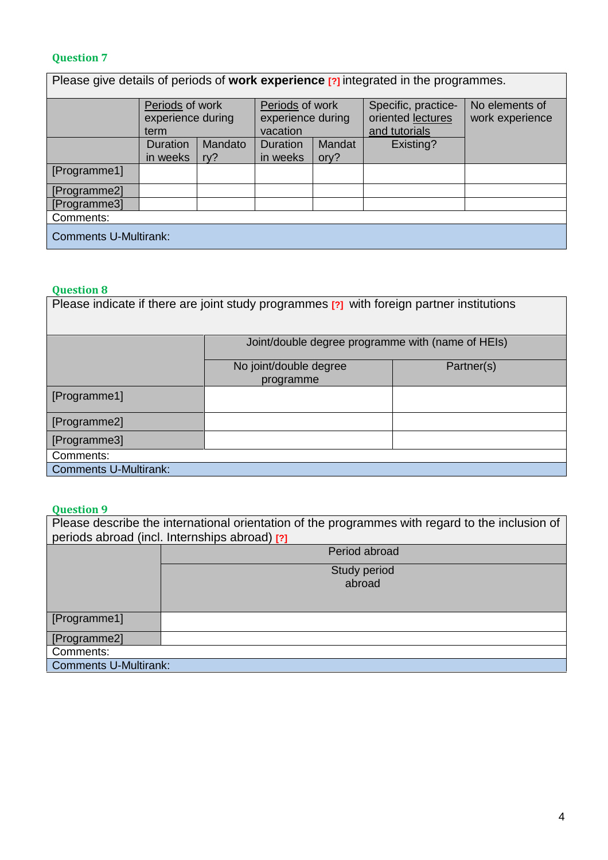| Please give details of periods of work experience [?] integrated in the programmes. |                                              |         |                                                  |               |                                                           |                                   |
|-------------------------------------------------------------------------------------|----------------------------------------------|---------|--------------------------------------------------|---------------|-----------------------------------------------------------|-----------------------------------|
|                                                                                     | Periods of work<br>experience during<br>term |         | Periods of work<br>experience during<br>vacation |               | Specific, practice-<br>oriented lectures<br>and tutorials | No elements of<br>work experience |
|                                                                                     | Duration                                     | Mandato | <b>Duration</b>                                  | <b>Mandat</b> | Existing?                                                 |                                   |
|                                                                                     | in weeks                                     | ry?     | in weeks                                         | ory?          |                                                           |                                   |
| [Programme1]                                                                        |                                              |         |                                                  |               |                                                           |                                   |
| [Programme2]                                                                        |                                              |         |                                                  |               |                                                           |                                   |
| [Programme3]                                                                        |                                              |         |                                                  |               |                                                           |                                   |
| Comments:                                                                           |                                              |         |                                                  |               |                                                           |                                   |
| <b>Comments U-Multirank:</b>                                                        |                                              |         |                                                  |               |                                                           |                                   |

## **Question 8**

| Please indicate if there are joint study programmes [?] with foreign partner institutions |                                                   |  |  |  |  |
|-------------------------------------------------------------------------------------------|---------------------------------------------------|--|--|--|--|
|                                                                                           | Joint/double degree programme with (name of HEIs) |  |  |  |  |
|                                                                                           | No joint/double degree<br>Partner(s)<br>programme |  |  |  |  |
| [Programme1]                                                                              |                                                   |  |  |  |  |
| [Programme2]                                                                              |                                                   |  |  |  |  |
| [Programme3]                                                                              |                                                   |  |  |  |  |
| Comments:                                                                                 |                                                   |  |  |  |  |
| <b>Comments U-Multirank:</b>                                                              |                                                   |  |  |  |  |

| Please describe the international orientation of the programmes with regard to the inclusion of<br>periods abroad (incl. Internships abroad) [?] |               |  |  |  |
|--------------------------------------------------------------------------------------------------------------------------------------------------|---------------|--|--|--|
|                                                                                                                                                  |               |  |  |  |
|                                                                                                                                                  | Period abroad |  |  |  |
|                                                                                                                                                  | Study period  |  |  |  |
|                                                                                                                                                  | abroad        |  |  |  |
|                                                                                                                                                  |               |  |  |  |
|                                                                                                                                                  |               |  |  |  |
| [Programme1]                                                                                                                                     |               |  |  |  |
| [Programme2]                                                                                                                                     |               |  |  |  |
| Comments:                                                                                                                                        |               |  |  |  |
| <b>Comments U-Multirank:</b>                                                                                                                     |               |  |  |  |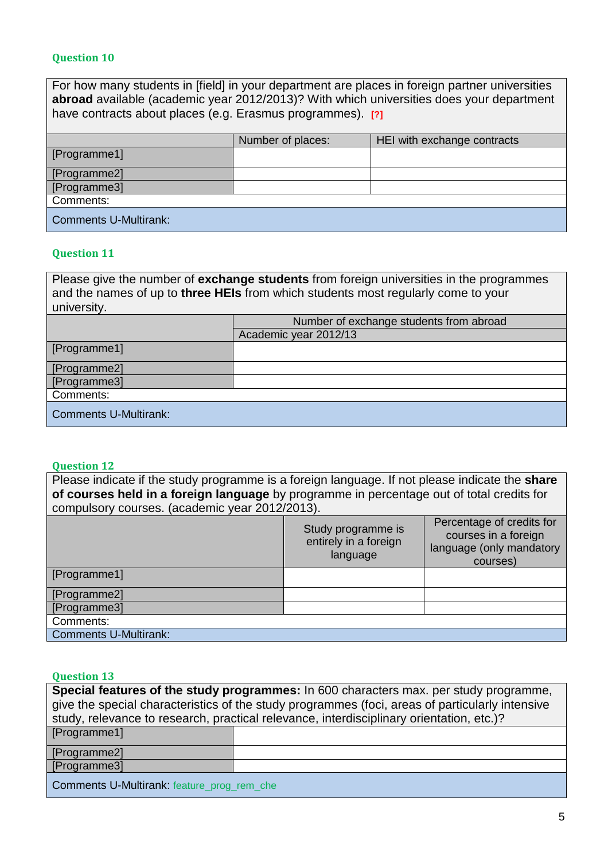For how many students in [field] in your department are places in foreign partner universities **abroad** available (academic year 2012/2013)? With which universities does your department have contracts about places (e.g. Erasmus programmes). **[?]**

|                              | Number of places: | HEI with exchange contracts |
|------------------------------|-------------------|-----------------------------|
| [Programme1]                 |                   |                             |
| [Programme2]                 |                   |                             |
| [Programme3]                 |                   |                             |
| Comments:                    |                   |                             |
| <b>Comments U-Multirank:</b> |                   |                             |

## **Question 11**

Please give the number of **exchange students** from foreign universities in the programmes and the names of up to **three HEIs** from which students most regularly come to your university.

|                              | Number of exchange students from abroad |  |
|------------------------------|-----------------------------------------|--|
|                              | Academic year 2012/13                   |  |
| [Programme1]                 |                                         |  |
| [Programme2]                 |                                         |  |
| [Programme3]                 |                                         |  |
| Comments:                    |                                         |  |
| <b>Comments U-Multirank:</b> |                                         |  |

#### **Question 12**

Please indicate if the study programme is a foreign language. If not please indicate the **share of courses held in a foreign language** by programme in percentage out of total credits for compulsory courses. (academic year 2012/2013).

|                              | Study programme is<br>entirely in a foreign<br>language | Percentage of credits for<br>courses in a foreign<br>language (only mandatory<br>courses) |
|------------------------------|---------------------------------------------------------|-------------------------------------------------------------------------------------------|
| [Programme1]                 |                                                         |                                                                                           |
| [Programme2]                 |                                                         |                                                                                           |
| [Programme3]                 |                                                         |                                                                                           |
| Comments:                    |                                                         |                                                                                           |
| <b>Comments U-Multirank:</b> |                                                         |                                                                                           |

## **Question 13**

| Special features of the study programmes: In 600 characters max. per study programme,           |                                                                                          |  |  |  |  |
|-------------------------------------------------------------------------------------------------|------------------------------------------------------------------------------------------|--|--|--|--|
| give the special characteristics of the study programmes (foci, areas of particularly intensive |                                                                                          |  |  |  |  |
|                                                                                                 | study, relevance to research, practical relevance, interdisciplinary orientation, etc.)? |  |  |  |  |
| [Programme1]                                                                                    |                                                                                          |  |  |  |  |
| [Programme2]                                                                                    |                                                                                          |  |  |  |  |
| [Programme3]                                                                                    |                                                                                          |  |  |  |  |
|                                                                                                 |                                                                                          |  |  |  |  |

Comments U-Multirank: feature\_prog\_rem\_che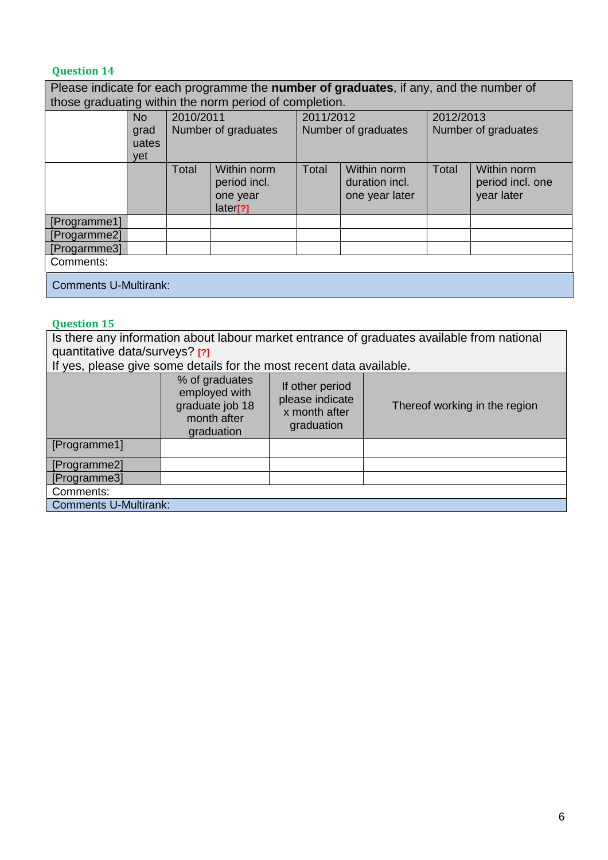Please indicate for each programme the **number of graduates**, if any, and the number of those graduating within the norm period of completion. No grad uates yet 2010/2011 Number of graduates 2011/2012 Number of graduates 2012/2013 Number of graduates Total Within norm Total Within norm Total Within norm

|                              | <b>Ulai</b> | <u>VVIUIIII LIULIII</u><br>period incl.<br>one year<br>later[?] | ι υιαι | <u>VVIUIIII IIUIIII</u><br>duration incl.<br>one year later | i vlai | <u>VVIUIIII IIUIIII</u><br>period incl. one<br>year later |
|------------------------------|-------------|-----------------------------------------------------------------|--------|-------------------------------------------------------------|--------|-----------------------------------------------------------|
| [Programme1]                 |             |                                                                 |        |                                                             |        |                                                           |
| [Progarmme2]                 |             |                                                                 |        |                                                             |        |                                                           |
| [Progarmme3]                 |             |                                                                 |        |                                                             |        |                                                           |
| Comments:                    |             |                                                                 |        |                                                             |        |                                                           |
| <b>Comments U-Multirank:</b> |             |                                                                 |        |                                                             |        |                                                           |

#### **Question 15**

Is there any information about labour market entrance of graduates available from national quantitative data/surveys? **[?]**

If yes, please give some details for the most recent data available.

|                              | % of graduates<br>employed with<br>graduate job 18<br>month after<br>graduation | If other period<br>please indicate<br>x month after<br>graduation | Thereof working in the region |
|------------------------------|---------------------------------------------------------------------------------|-------------------------------------------------------------------|-------------------------------|
| [Programme1]                 |                                                                                 |                                                                   |                               |
| [Programme2]                 |                                                                                 |                                                                   |                               |
| [Programme3]                 |                                                                                 |                                                                   |                               |
| Comments:                    |                                                                                 |                                                                   |                               |
| <b>Comments U-Multirank:</b> |                                                                                 |                                                                   |                               |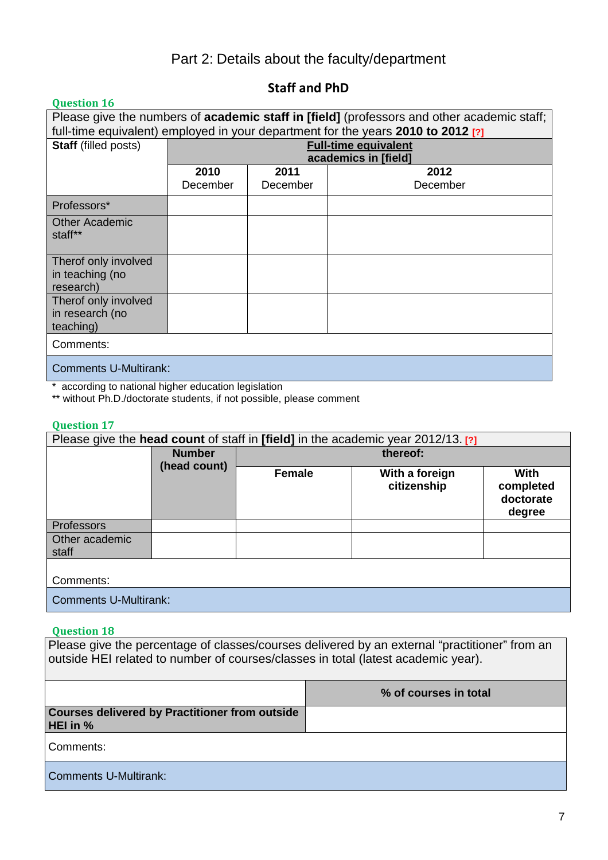## Part 2: Details about the faculty/department

## **Staff and PhD**

#### **Question 16** Please give the numbers of **academic staff in [field]** (professors and other academic staff; full-time equivalent) employed in your department for the years **2010 to 2012 [?] Staff** (filled posts) **Full-time equivalent academics in [field] 2010** December **2011** December **2012** December Professors\* Other Academic staff\*\* Therof only involved in teaching (no research) Therof only involved in research (no teaching) Comments: Comments U-Multirank:

\* according to national higher education legislation

\*\* without Ph.D./doctorate students, if not possible, please comment

## **Question 17**

| Please give the head count of staff in [field] in the academic year 2012/13. [?] |               |               |                               |                                                 |  |
|----------------------------------------------------------------------------------|---------------|---------------|-------------------------------|-------------------------------------------------|--|
|                                                                                  | <b>Number</b> | thereof:      |                               |                                                 |  |
|                                                                                  | (head count)  | <b>Female</b> | With a foreign<br>citizenship | <b>With</b><br>completed<br>doctorate<br>degree |  |
| <b>Professors</b>                                                                |               |               |                               |                                                 |  |
| Other academic<br>staff                                                          |               |               |                               |                                                 |  |
| Comments:                                                                        |               |               |                               |                                                 |  |
| <b>Comments U-Multirank:</b>                                                     |               |               |                               |                                                 |  |

#### **Question 18**

Please give the percentage of classes/courses delivered by an external "practitioner" from an outside HEI related to number of courses/classes in total (latest academic year).

|                                                                   | % of courses in total |
|-------------------------------------------------------------------|-----------------------|
| <b>Courses delivered by Practitioner from outside</b><br>HEI in % |                       |
| Comments:                                                         |                       |
| <b>Comments U-Multirank:</b>                                      |                       |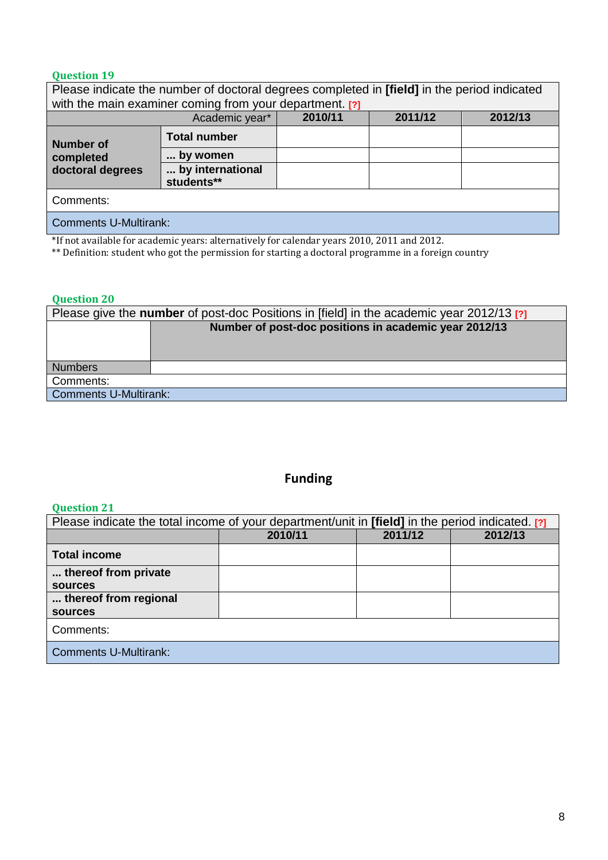| Please indicate the number of doctoral degrees completed in [field] in the period indicated |                                |  |  |  |  |
|---------------------------------------------------------------------------------------------|--------------------------------|--|--|--|--|
| with the main examiner coming from your department. [?]                                     |                                |  |  |  |  |
| 2010/11<br>2011/12<br>2012/13<br>Academic year*                                             |                                |  |  |  |  |
| <b>Number of</b>                                                                            | <b>Total number</b>            |  |  |  |  |
| completed                                                                                   | by women                       |  |  |  |  |
| doctoral degrees                                                                            | by international<br>students** |  |  |  |  |
| Comments:                                                                                   |                                |  |  |  |  |
| <b>Comments U-Multirank:</b>                                                                |                                |  |  |  |  |

\*If not available for academic years: alternatively for calendar years 2010, 2011 and 2012.

\*\* Definition: student who got the permission for starting a doctoral programme in a foreign country

## **Question 20**

## **Funding**

| Please indicate the total income of your department/unit in <b>[field]</b> in the period indicated. [?] |                               |  |  |  |  |  |
|---------------------------------------------------------------------------------------------------------|-------------------------------|--|--|--|--|--|
|                                                                                                         | 2011/12<br>2012/13<br>2010/11 |  |  |  |  |  |
| <b>Total income</b>                                                                                     |                               |  |  |  |  |  |
| thereof from private                                                                                    |                               |  |  |  |  |  |
| <b>sources</b>                                                                                          |                               |  |  |  |  |  |
| thereof from regional                                                                                   |                               |  |  |  |  |  |
| <b>sources</b>                                                                                          |                               |  |  |  |  |  |
| Comments:                                                                                               |                               |  |  |  |  |  |
| <b>Comments U-Multirank:</b>                                                                            |                               |  |  |  |  |  |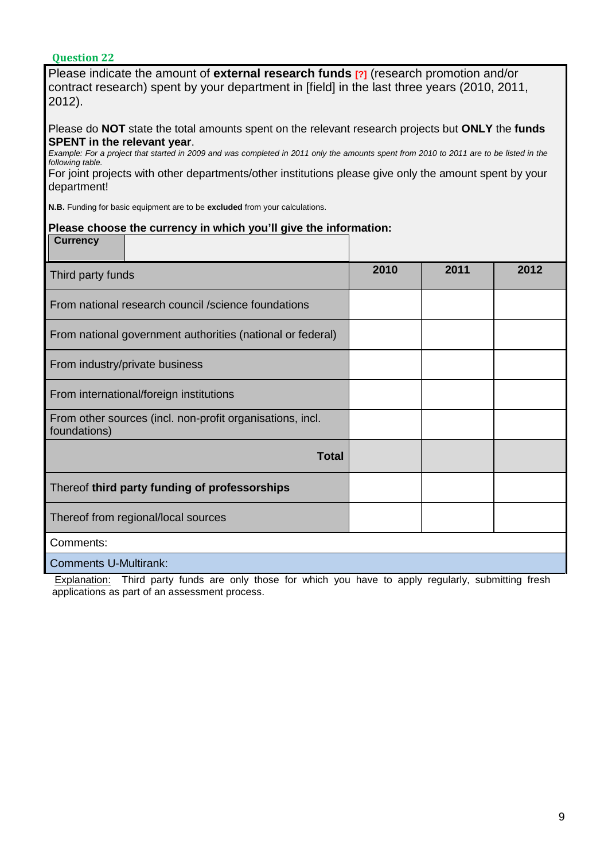| Please indicate the amount of external research funds [?] (research promotion and/or<br>contract research) spent by your department in [field] in the last three years (2010, 2011,<br>2012).                                                                                                                                                                                                                                 |      |      |      |  |  |
|-------------------------------------------------------------------------------------------------------------------------------------------------------------------------------------------------------------------------------------------------------------------------------------------------------------------------------------------------------------------------------------------------------------------------------|------|------|------|--|--|
| Please do NOT state the total amounts spent on the relevant research projects but ONLY the funds<br><b>SPENT</b> in the relevant year.<br>Example: For a project that started in 2009 and was completed in 2011 only the amounts spent from 2010 to 2011 are to be listed in the<br>following table.<br>For joint projects with other departments/other institutions please give only the amount spent by your<br>department! |      |      |      |  |  |
| N.B. Funding for basic equipment are to be excluded from your calculations.                                                                                                                                                                                                                                                                                                                                                   |      |      |      |  |  |
| Please choose the currency in which you'll give the information:                                                                                                                                                                                                                                                                                                                                                              |      |      |      |  |  |
| <b>Currency</b>                                                                                                                                                                                                                                                                                                                                                                                                               |      |      |      |  |  |
| Third party funds                                                                                                                                                                                                                                                                                                                                                                                                             | 2010 | 2011 | 2012 |  |  |
| From national research council /science foundations                                                                                                                                                                                                                                                                                                                                                                           |      |      |      |  |  |
| From national government authorities (national or federal)                                                                                                                                                                                                                                                                                                                                                                    |      |      |      |  |  |
| From industry/private business                                                                                                                                                                                                                                                                                                                                                                                                |      |      |      |  |  |
| From international/foreign institutions                                                                                                                                                                                                                                                                                                                                                                                       |      |      |      |  |  |
| From other sources (incl. non-profit organisations, incl.<br>foundations)                                                                                                                                                                                                                                                                                                                                                     |      |      |      |  |  |
| <b>Total</b>                                                                                                                                                                                                                                                                                                                                                                                                                  |      |      |      |  |  |
| Thereof third party funding of professorships                                                                                                                                                                                                                                                                                                                                                                                 |      |      |      |  |  |
| Thereof from regional/local sources                                                                                                                                                                                                                                                                                                                                                                                           |      |      |      |  |  |
| Comments:                                                                                                                                                                                                                                                                                                                                                                                                                     |      |      |      |  |  |
| <b>Comments U-Multirank:</b>                                                                                                                                                                                                                                                                                                                                                                                                  |      |      |      |  |  |
| Explanation: Third party funds are only those for which you have to apply requilarly, submitting fresh                                                                                                                                                                                                                                                                                                                        |      |      |      |  |  |

**Explanation:** Third party funds are only those for which you have to apply regularly, submitting fresh applications as part of an assessment process.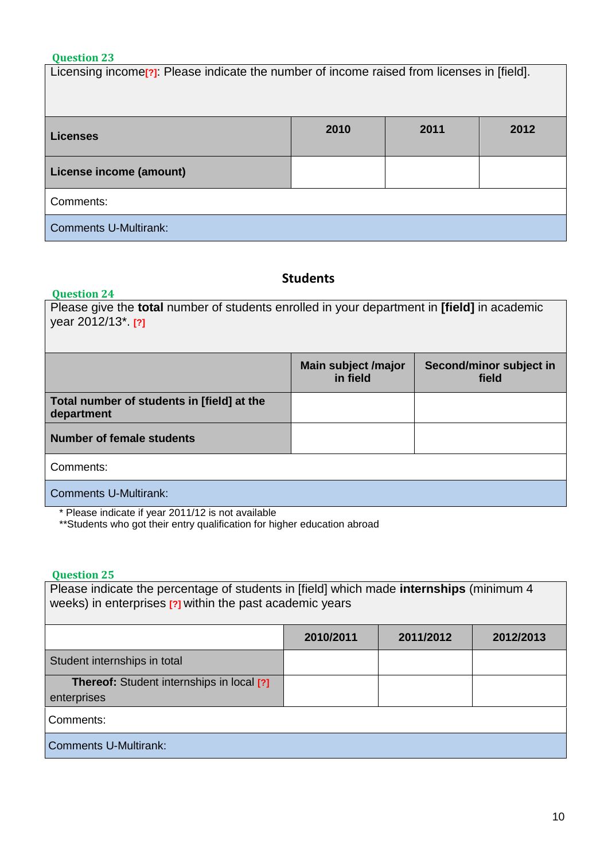Licensing income<sup>[2]</sup>: Please indicate the number of income raised from licenses in [field].

| Licenses                     | 2010 | 2011 | 2012 |  |  |
|------------------------------|------|------|------|--|--|
| License income (amount)      |      |      |      |  |  |
| Comments:                    |      |      |      |  |  |
| <b>Comments U-Multirank:</b> |      |      |      |  |  |

## **Students**

## **Question 24**

| Please give the <b>total</b> number of students enrolled in your department in [field] in academic<br>year 2012/13*. [?] |                                 |                                  |  |  |
|--------------------------------------------------------------------------------------------------------------------------|---------------------------------|----------------------------------|--|--|
|                                                                                                                          | Main subject /major<br>in field | Second/minor subject in<br>field |  |  |
| Total number of students in [field] at the<br>department                                                                 |                                 |                                  |  |  |
| <b>Number of female students</b>                                                                                         |                                 |                                  |  |  |
| Comments:                                                                                                                |                                 |                                  |  |  |
| <b>Comments U-Multirank:</b>                                                                                             |                                 |                                  |  |  |

\* Please indicate if year 2011/12 is not available

\*\*Students who got their entry qualification for higher education abroad

| Please indicate the percentage of students in [field] which made internships (minimum 4<br>weeks) in enterprises [?] within the past academic years |           |           |           |  |
|-----------------------------------------------------------------------------------------------------------------------------------------------------|-----------|-----------|-----------|--|
|                                                                                                                                                     | 2010/2011 | 2011/2012 | 2012/2013 |  |
| Student internships in total                                                                                                                        |           |           |           |  |
| <b>Thereof:</b> Student internships in local [?]<br>enterprises                                                                                     |           |           |           |  |
| Comments:                                                                                                                                           |           |           |           |  |
| <b>Comments U-Multirank:</b>                                                                                                                        |           |           |           |  |